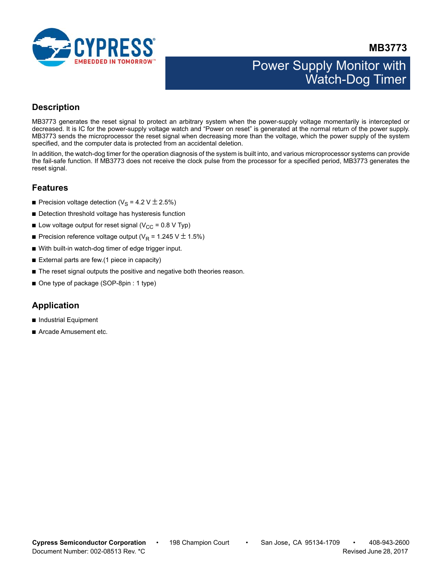

**MB3773**

# Power Supply Monitor with Watch-Dog Timer

## <span id="page-0-0"></span>**Description**

MB3773 generates the reset signal to protect an arbitrary system when the power-supply voltage momentarily is intercepted or decreased. It is IC for the power-supply voltage watch and "Power on reset" is generated at the normal return of the power supply. MB3773 sends the microprocessor the reset signal when decreasing more than the voltage, which the power supply of the system specified, and the computer data is protected from an accidental deletion.

In addition, the watch-dog timer for the operation diagnosis of the system is built into, and various microprocessor systems can provide the fail-safe function. If MB3773 does not receive the clock pulse from the processor for a specified period, MB3773 generates the reset signal.

### <span id="page-0-1"></span>**Features**

- **•** Precision voltage detection ( $V_S$  = 4.2 V  $\pm$  2.5%)
- Detection threshold voltage has hysteresis function
- **Low voltage output for reset signal (V<sub>CC</sub> = 0.8 V Typ)**
- **•** Precision reference voltage output ( $V_R$  = 1.245 V  $\pm$  1.5%)
- With built-in watch-dog timer of edge trigger input.
- External parts are few.(1 piece in capacity)
- The reset signal outputs the positive and negative both theories reason.
- One type of package (SOP-8pin : 1 type)

## <span id="page-0-2"></span>**Application**

- Industrial Equipment
- Arcade Amusement etc.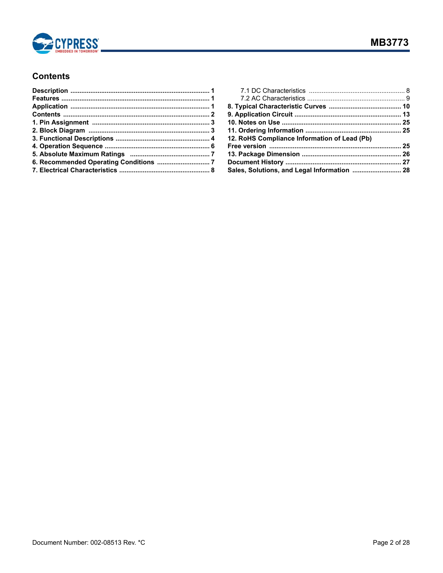

## <span id="page-1-0"></span>**Contents**

| 12. RoHS Compliance Information of Lead (Pb) |  |
|----------------------------------------------|--|
|                                              |  |
|                                              |  |
|                                              |  |
| Sales, Solutions, and Legal Information  28  |  |
|                                              |  |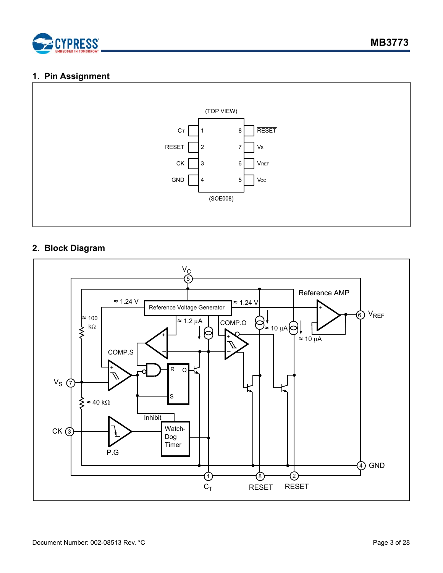

### <span id="page-2-0"></span>**1. Pin Assignment**



## <span id="page-2-1"></span>**2. Block Diagram**

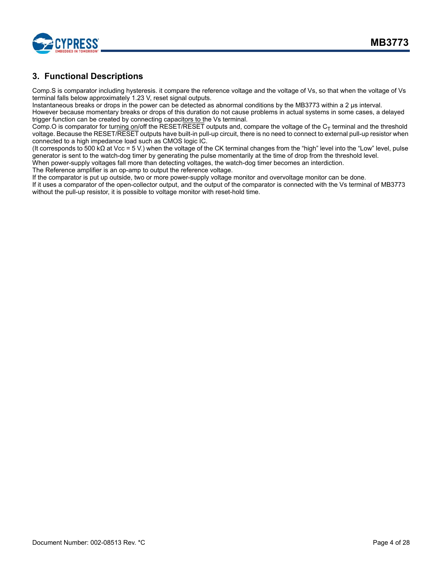

## <span id="page-3-0"></span>**3. Functional Descriptions**

Comp.S is comparator including hysteresis. it compare the reference voltage and the voltage of Vs, so that when the voltage of Vs terminal falls below approximately 1.23 V, reset signal outputs.

Instantaneous breaks or drops in the power can be detected as abnormal conditions by the MB3773 within a 2 μs interval. However because momentary breaks or drops of this duration do not cause problems in actual systems in some cases, a delayed

trigger function can be created by connecting capacitors to the Vs terminal.

Comp.O is comparator for turning on/off the RESET/RESET outputs and, compare the voltage of the  $C_T$  terminal and the threshold voltage. Because the RESET/RESET outputs have built-in pull-up circuit, there is no need to connect to external pull-up resistor when connected to a high impedance load such as CMOS logic IC.

(It corresponds to 500 kΩ at Vcc = 5 V.) when the voltage of the CK terminal changes from the "high" level into the "Low" level, pulse generator is sent to the watch-dog timer by generating the pulse momentarily at the time of drop from the threshold level. When power-supply voltages fall more than detecting voltages, the watch-dog timer becomes an interdiction.

The Reference amplifier is an op-amp to output the reference voltage.

If the comparator is put up outside, two or more power-supply voltage monitor and overvoltage monitor can be done. If it uses a comparator of the open-collector output, and the output of the comparator is connected with the Vs terminal of MB3773 without the pull-up resistor, it is possible to voltage monitor with reset-hold time.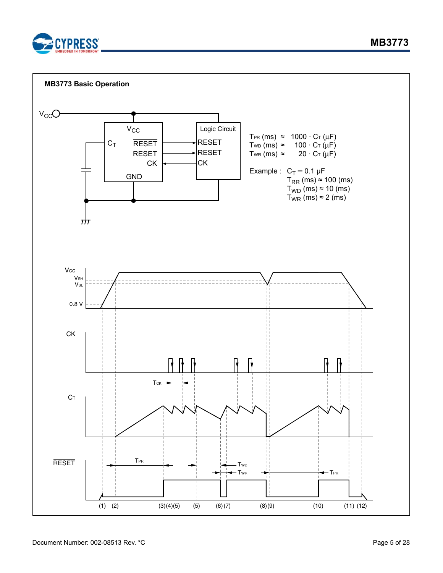

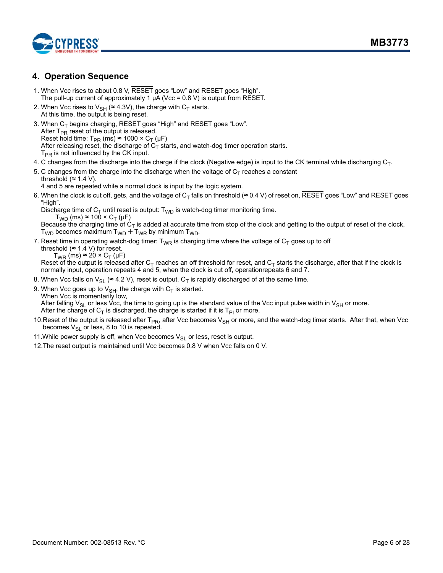

### <span id="page-5-0"></span>**4. Operation Sequence**

- 1. When Vcc rises to about 0.8 V, RESET goes "Low" and RESET goes "High". The pull-up current of approximately 1 μA (Vcc = 0.8 V) is output from RESET.
- 2. When Vcc rises to  $V_{SH}$  (≈ 4.3V), the charge with C<sub>T</sub> starts. At this time, the output is being reset.
- 3. When  $C_T$  begins charging, RESET goes "High" and RESET goes "Low". After  $T_{PR}$  reset of the output is released. Reset hold time:  $T_{PR}$  (ms)  $\approx$  1000 × C<sub>T</sub> ( $\mu$ F) After releasing reset, the discharge of  $C_T$  starts, and watch-dog timer operation starts.  $T_{PR}$  is not influenced by the CK input.
- 4. C changes from the discharge into the charge if the clock (Negative edge) is input to the CK terminal while discharging  $C_T$ .
- 5. C changes from the charge into the discharge when the voltage of  $C_T$  reaches a constant threshold ( $\approx$  1.4 V).
	- 4 and 5 are repeated while a normal clock is input by the logic system.
- 6. When the clock is cut off, gets, and the voltage of C<sub>T</sub> falls on threshold (≈ 0.4 V) of reset on, RESET goes "Low" and RESET goes "High".

Discharge time of  $C_T$  until reset is output:  $T_{WD}$  is watch-dog timer monitoring time.  $T_{WD}$  (ms) ≈ 100 ×  $C_T$  (µF)

Because the charging time of  $C_T$  is added at accurate time from stop of the clock and getting to the output of reset of the clock,  $T_{WD}$  becomes maximum  $T_{WD} + T_{WR}$  by minimum  $T_{WD}$ .

7. Reset time in operating watch-dog timer:  $T_{WR}$  is charging time where the voltage of  $C_T$  goes up to off

threshold ( $\approx$  1.4 V) for reset.  $T_{WR}$  (ms)  $\approx$  20  $\times$  C<sub>T</sub> (µF)

Reset of the output is released after C<sub>T</sub> reaches an off threshold for reset, and C<sub>T</sub> starts the discharge, after that if the clock is normally input, operation repeats 4 and 5, when the clock is cut off, operationrepeats 6 and 7.

- 8. When Vcc falls on  $V_{SI} \approx 4.2$  V), reset is output. C<sub>T</sub> is rapidly discharged of at the same time.
- 9. When Vcc goes up to  $V_{\text{SH}}$ , the charge with  $C_T$  is started. When Vcc is momentarily low, After falling  $V_{SI}$  or less Vcc, the time to going up is the standard value of the Vcc input pulse width in  $V_{SH}$  or more. After the charge of  $C_T$  is discharged, the charge is started if it is  $T_{PI}$  or more.
- 10. Reset of the output is released after T<sub>PR</sub>, after Vcc becomes V<sub>SH</sub> or more, and the watch-dog timer starts. After that, when Vcc becomes  $V_{SI}$  or less, 8 to 10 is repeated.
- 11. While power supply is off, when Vcc becomes  $V_{SL}$  or less, reset is output.
- 12.The reset output is maintained until Vcc becomes 0.8 V when Vcc falls on 0 V.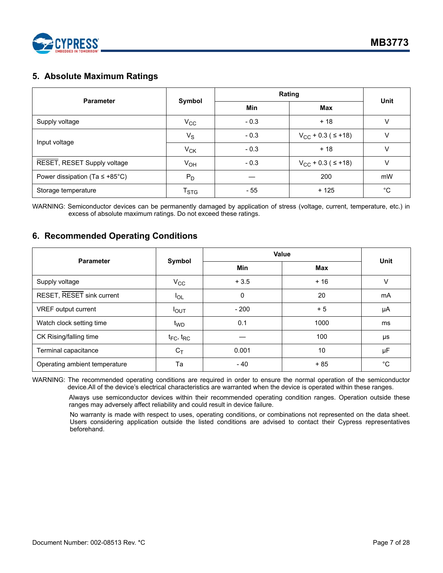

## <span id="page-6-0"></span>**5. Absolute Maximum Ratings**

| <b>Parameter</b>                    |                             | Rating | <b>Unit</b>                  |    |
|-------------------------------------|-----------------------------|--------|------------------------------|----|
|                                     | Symbol                      | Min    | Max                          |    |
| Supply voltage                      | $V_{\rm CC}$                | $-0.3$ | $+18$                        | V  |
| Input voltage                       | $V_S$                       | $-0.3$ | $V_{CC}$ + 0.3 ( $\leq$ +18) | v  |
|                                     | $V_{CK}$                    | $-0.3$ | $+18$                        | V  |
| RESET, RESET Supply voltage         | $V_{OH}$                    | $-0.3$ | $V_{CC}$ + 0.3 ( $\leq$ +18) | V  |
| Power dissipation (Ta $\leq$ +85°C) | $P_D$                       |        | 200                          | mW |
| Storage temperature                 | $\mathsf{T}_{\textsf{STG}}$ | - 55   | $+125$                       | °C |

WARNING: Semiconductor devices can be permanently damaged by application of stress (voltage, current, temperature, etc.) in excess of absolute maximum ratings. Do not exceed these ratings.

### <span id="page-6-1"></span>**6. Recommended Operating Conditions**

| <b>Parameter</b>              | Symbol              | Value      | Unit       |             |
|-------------------------------|---------------------|------------|------------|-------------|
|                               |                     | <b>Min</b> | <b>Max</b> |             |
| Supply voltage                | $V_{\rm CC}$        | $+3.5$     | $+16$      | $\vee$      |
| RESET, RESET sink current     | $I_{OL}$            | 0          | 20         | mA          |
| VREF output current           | $I_{OUT}$           | $-200$     | + 5        | μA          |
| Watch clock setting time      | t <sub>WD</sub>     | 0.1        | 1000       | ms          |
| CK Rising/falling time        | $t_{FC}$ , $t_{RC}$ |            | 100        | μs          |
| Terminal capacitance          | $C_T$               | 0.001      | 10         | μF          |
| Operating ambient temperature | Та                  | $-40$      | $+85$      | $^{\circ}C$ |

WARNING: The recommended operating conditions are required in order to ensure the normal operation of the semiconductor device.All of the device's electrical characteristics are warranted when the device is operated within these ranges.

Always use semiconductor devices within their recommended operating condition ranges. Operation outside these ranges may adversely affect reliability and could result in device failure.

No warranty is made with respect to uses, operating conditions, or combinations not represented on the data sheet. Users considering application outside the listed conditions are advised to contact their Cypress representatives beforehand.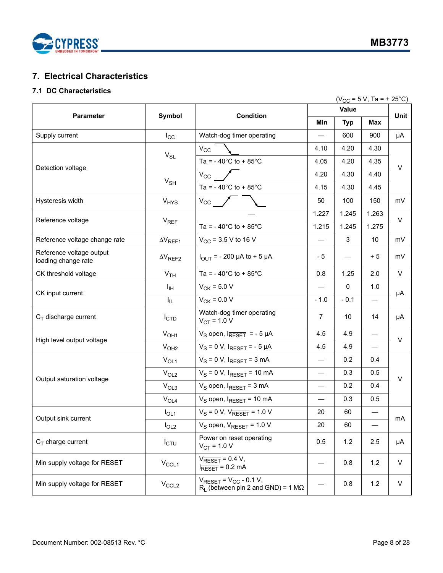

## <span id="page-7-0"></span>**7. Electrical Characteristics**

### <span id="page-7-1"></span>**7.1 DC Characteristics**

|                                                 |                            |                                                                                              |                          |             | $(V_{CC} = 5 V, Ta = + 25°C)$ |         |  |
|-------------------------------------------------|----------------------------|----------------------------------------------------------------------------------------------|--------------------------|-------------|-------------------------------|---------|--|
|                                                 |                            |                                                                                              |                          | <b>Unit</b> |                               |         |  |
| <b>Parameter</b>                                | Symbol                     | <b>Condition</b>                                                                             | Min                      | <b>Typ</b>  | Max                           |         |  |
| Supply current                                  | $I_{\rm CC}$               | Watch-dog timer operating                                                                    |                          | 600         | 900                           | μA      |  |
|                                                 |                            | $V_{\rm CC}$                                                                                 | 4.10                     | 4.20        | 4.30                          |         |  |
|                                                 | $V_{SL}$                   | Ta = $-40^{\circ}$ C to + 85 $^{\circ}$ C                                                    | 4.05                     | 4.20        | 4.35                          | $\vee$  |  |
| Detection voltage                               |                            | $V_{CC}$                                                                                     | 4.20                     | 4.30        | 4.40                          |         |  |
|                                                 | $V_{\sf SH}$               | Ta = $-40^{\circ}$ C to + 85 $^{\circ}$ C                                                    | 4.15                     | 4.30        | 4.45                          |         |  |
| Hysteresis width                                | <b>V<sub>HYS</sub></b>     | $V_{CC}$                                                                                     | 50                       | 100         | 150                           | mV      |  |
| Reference voltage                               | $V_{REF}$                  |                                                                                              | 1.227                    | 1.245       | 1.263                         | $\vee$  |  |
|                                                 |                            | Ta = $-40^{\circ}$ C to + 85 $^{\circ}$ C                                                    | 1.215                    | 1.245       | 1.275                         |         |  |
| Reference voltage change rate                   | $\Delta V_{REF1}$          | $V_{CC}$ = 3.5 V to 16 V                                                                     |                          | 3           | 10                            | mV      |  |
| Reference voltage output<br>loading change rate | $\Delta\rm{V}_{\rm{REF2}}$ | $I_{\text{OUT}}$ = - 200 µA to + 5 µA                                                        | - 5                      |             | $+5$                          | mV      |  |
| CK threshold voltage                            | V <sub>TH</sub>            | Ta = $-40^{\circ}$ C to + 85 $^{\circ}$ C                                                    | 0.8                      | 1.25        | 2.0                           | V       |  |
| CK input current                                | ŀщ                         | $V_{CK}$ = 5.0 V                                                                             |                          | 0           | 1.0                           | μA      |  |
|                                                 | I <sub>IL</sub>            | $V_{CK}$ = 0.0 V                                                                             | $-1.0$                   | $-0.1$      | —                             |         |  |
| $C_T$ discharge current                         | I <sub>CTD</sub>           | Watch-dog timer operating<br>$V_{CT}$ = 1.0 V                                                | 7                        | 10          | 14                            | μA      |  |
| High level output voltage                       | V <sub>OH1</sub>           | $V_S$ open, $I_{\overline{RESET}}$ = - 5 µA                                                  | 4.5                      | 4.9         | $\overline{\phantom{0}}$      | $\vee$  |  |
|                                                 | V <sub>OH2</sub>           | $V_S = 0 V$ , $I_{RESET} = -5 \mu A$                                                         | 4.5                      | 4.9         |                               |         |  |
|                                                 | $V_{OL1}$                  | $V_S = 0 V$ , $I_{RESET} = 3 mA$                                                             | —                        | 0.2         | 0.4                           |         |  |
| Output saturation voltage                       | $V_{OL2}$                  | $V_S = 0 V$ , $I_{RESET} = 10 mA$                                                            | $\overline{\phantom{0}}$ | 0.3         | 0.5                           | V       |  |
|                                                 | V <sub>OL3</sub>           | $V_S$ open, $I_{RESET} = 3$ mA                                                               |                          | 0.2<br>0.4  |                               |         |  |
|                                                 | $V_{OL4}$                  | $V_S$ open, $I_{RESET}$ = 10 mA                                                              |                          | 0.3         | 0.5                           |         |  |
| Output sink current                             | $I_{OL1}$                  | $V_S = 0 V$ , $V_{RESET} = 1.0 V$                                                            | 20                       | 60          |                               | mA      |  |
|                                                 | I <sub>OL2</sub>           | $V_S$ open, $V_{RESET}$ = 1.0 V                                                              | 20                       | 60          |                               |         |  |
| $C_T$ charge current                            | $I_{CTU}$                  | Power on reset operating<br>$V_{CT}$ = 1.0 V                                                 | 0.5                      | 1.2         | 2.5                           | μA      |  |
| Min supply voltage for RESET                    | $V_{CCL1}$                 | $V_{\overline{\text{RESET}}}$ = 0.4 V,<br>$I_{\overline{\text{RESET}}}$ = 0.2 mA             |                          | 0.8         | $1.2$                         | $\vee$  |  |
| Min supply voltage for RESET                    | $V_{CCL2}$                 | $V_{\text{RESET}} = V_{\text{CC}} - 0.1 V$ ,<br>$R_1$ (between pin 2 and GND) = 1 M $\Omega$ |                          | 0.8         | $1.2$                         | $\sf V$ |  |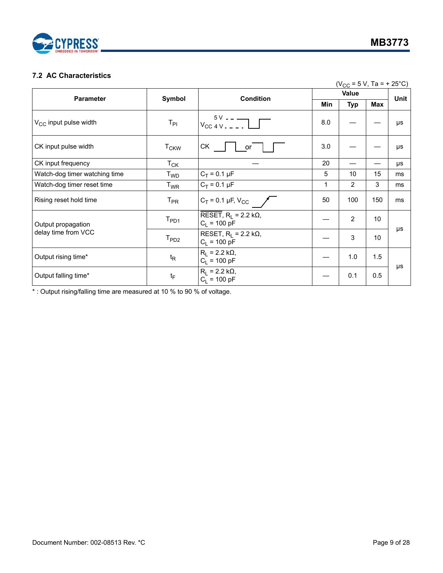

#### <span id="page-8-0"></span>**7.2 AC Characteristics**

|                               |                             |                                                                                          |     | $(V_{CC} = 5 V, Ta = + 25°C)$ |     |      |
|-------------------------------|-----------------------------|------------------------------------------------------------------------------------------|-----|-------------------------------|-----|------|
|                               |                             | Value                                                                                    |     |                               |     |      |
| <b>Parameter</b>              | Symbol                      | <b>Condition</b>                                                                         | Min | <b>Typ</b>                    | Max | Unit |
| $V_{CC}$ input pulse width    | $T_{\text{PI}}$             | $V_{\text{CC 4V}}$ = $\frac{5V - 2V_{\text{CC 4V}}}{V_{\text{CC 4V}} - 2V_{\text{CV}}}}$ | 8.0 |                               |     | μs   |
| CK input pulse width          | $T_{CKW}$                   | СK<br>or                                                                                 | 3.0 |                               |     | μs   |
| CK input frequency            | $T_{CK}$                    |                                                                                          | 20  |                               |     | μs   |
| Watch-dog timer watching time | T <sub>WD</sub>             | $C_T = 0.1 \mu F$                                                                        | 5   | 10                            | 15  | ms   |
| Watch-dog timer reset time    | $T_{WR}$                    | $C_T = 0.1 \mu F$                                                                        | 1   | $\overline{2}$                | 3   | ms   |
| Rising reset hold time        | $\mathsf{T}_{\mathsf{PR}}$  | $C_T = 0.1 \,\mu F, V_{CC}$                                                              | 50  | 100                           | 150 | ms   |
| Output propagation            | $\mathsf{T}_{\mathsf{PD1}}$ | RESET, $R_1 = 2.2 k\Omega$ ,<br>$C_1 = 100 pF$                                           |     | $\overline{2}$                | 10  |      |
| delay time from VCC           | T <sub>PD2</sub>            | RESET, $R_1 = 2.2 k\Omega$ ,<br>$C_1$ = 100 pF                                           |     | 3                             | 10  | μs   |
| Output rising time*           | $t_{\mathsf{R}}$            | $R_1 = 2.2 k\Omega$ ,<br>$C_1 = 100 pF$                                                  |     | 1.0                           | 1.5 |      |
| Output falling time*          | $t_F$                       | $R_1 = 2.2 k\Omega$ ,<br>$C_1 = 100 pF$                                                  |     | 0.1                           | 0.5 | μs   |

\* : Output rising/falling time are measured at 10 % to 90 % of voltage.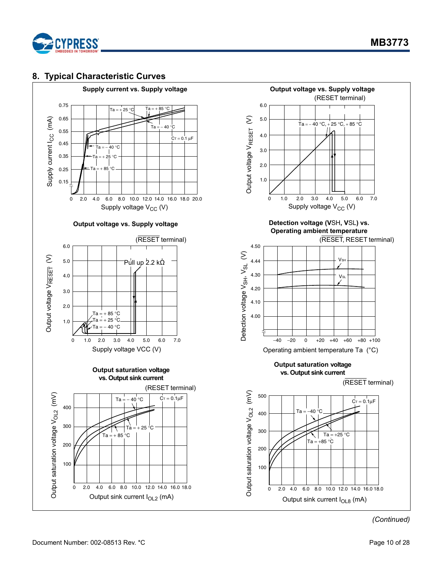

### <span id="page-9-0"></span>**8. Typical Characteristic Curves**

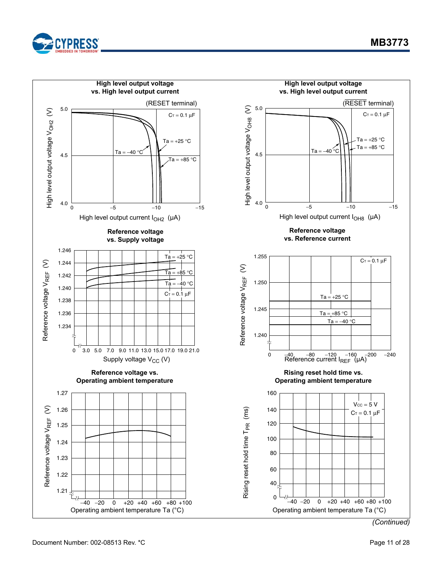



Document Number: 002-08513 Rev. \*C example 20 and the control of 28 and 28 and 28 and 28 and 28 and 28 and 28 and 28 and 28 and 28 and 28 and 28 and 28 and 28 and 28 and 28 and 29 and 29 and 29 and 29 and 29 and 29 and 29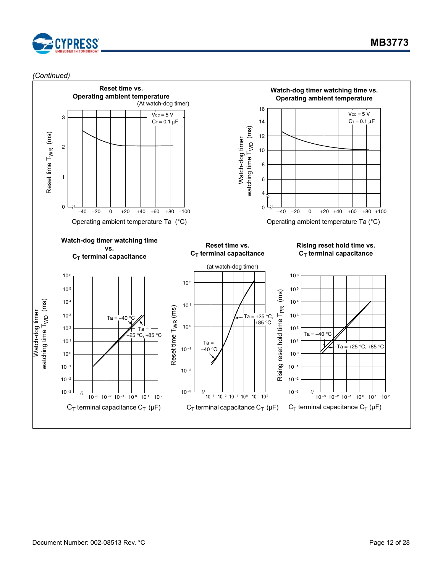

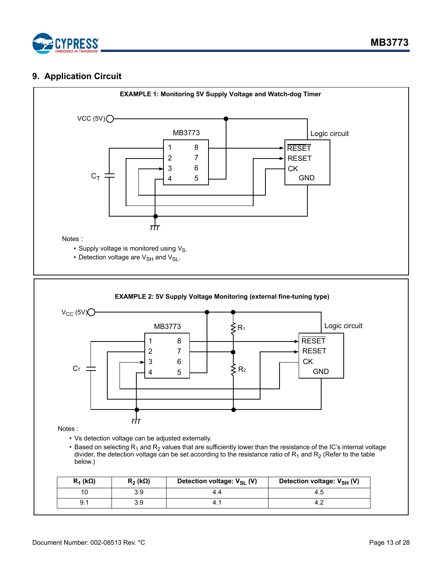

### <span id="page-12-0"></span>**9. Application Circuit**

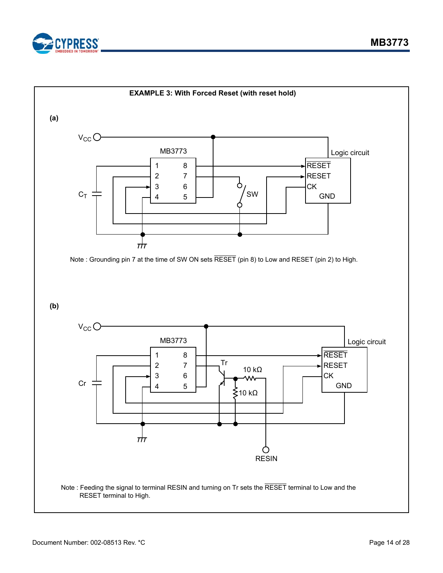

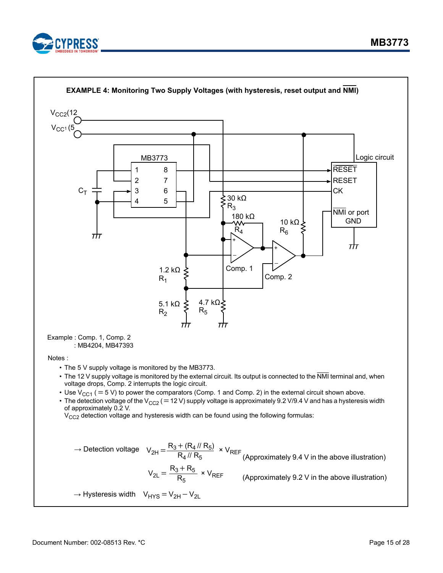

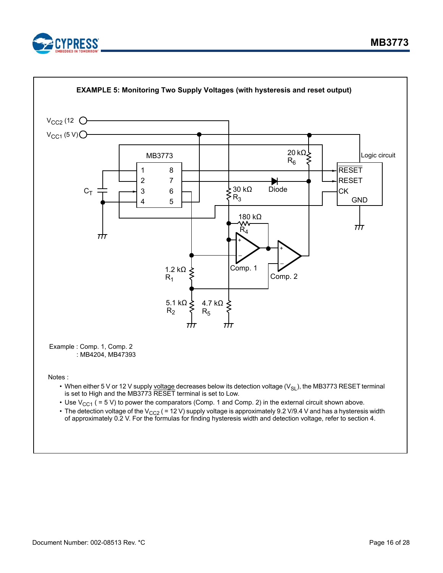

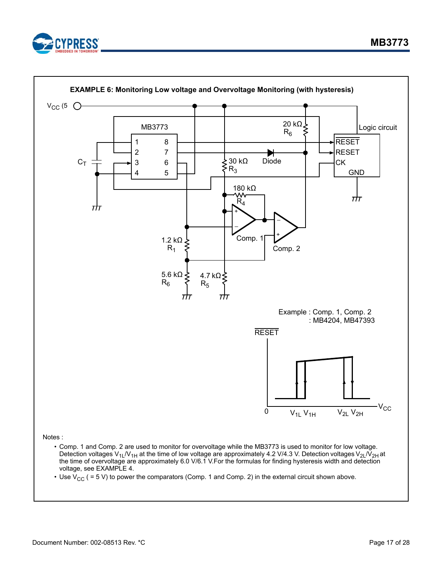

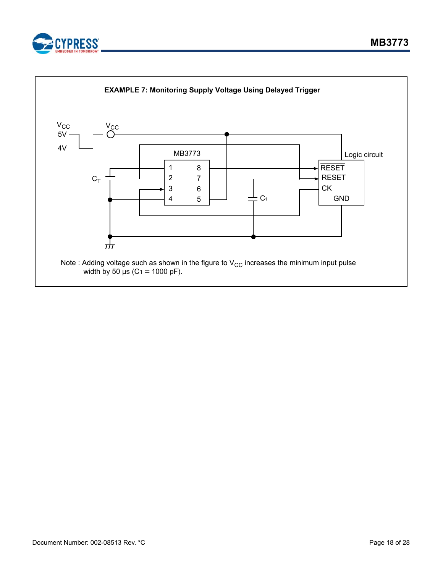



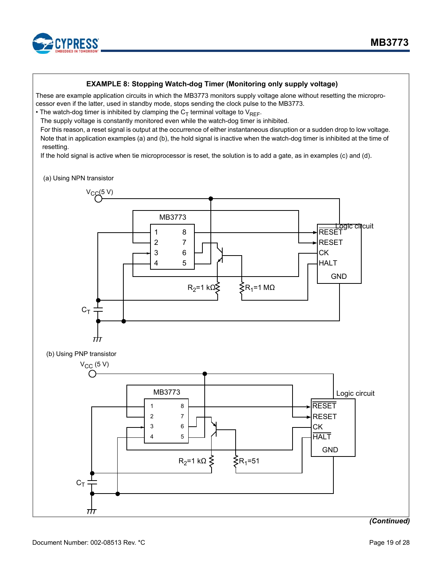

#### **EXAMPLE 8: Stopping Watch-dog Timer (Monitoring only supply voltage)**

These are example application circuits in which the MB3773 monitors supply voltage alone without resetting the microprocessor even if the latter, used in standby mode, stops sending the clock pulse to the MB3773.

• The watch-dog timer is inhibited by clamping the  $C_T$  terminal voltage to  $V_{RFF}$ .

The supply voltage is constantly monitored even while the watch-dog timer is inhibited.

For this reason, a reset signal is output at the occurrence of either instantaneous disruption or a sudden drop to low voltage. Note that in application examples (a) and (b), the hold signal is inactive when the watch-dog timer is inhibited at the time of resetting.

If the hold signal is active when tie microprocessor is reset, the solution is to add a gate, as in examples (c) and (d).

#### (a) Using NPN transistor

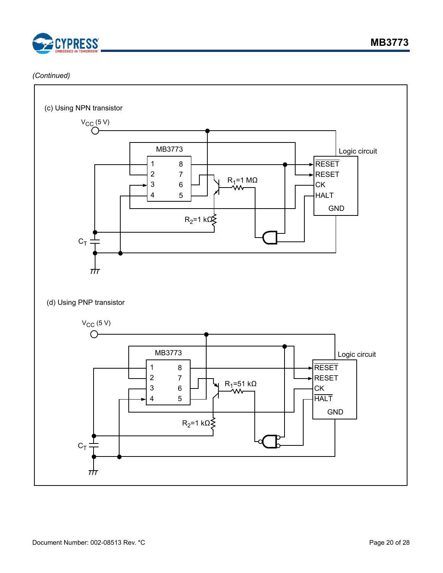

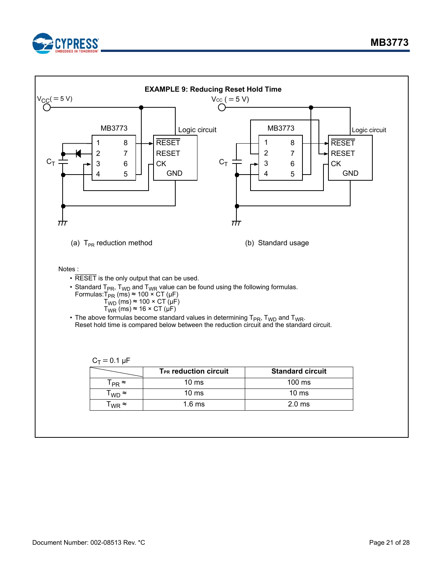

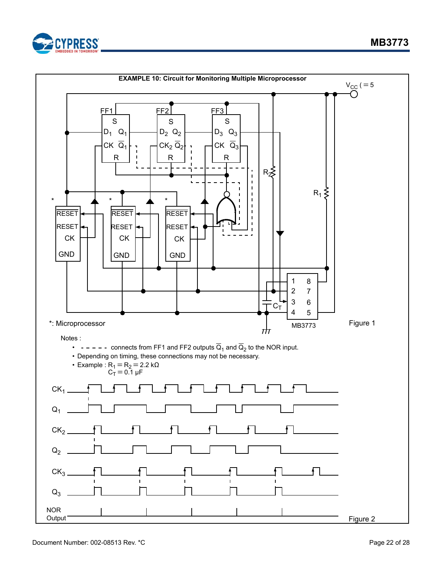

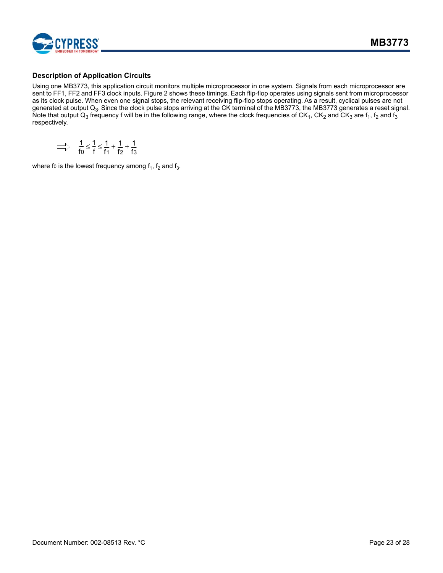

#### **Description of Application Circuits**

Using one MB3773, this application circuit monitors multiple microprocessor in one system. Signals from each microprocessor are sent to FF1, FF2 and FF3 clock inputs. Figure 2 shows these timings. Each flip-flop operates using signals sent from microprocessor as its clock pulse. When even one signal stops, the relevant receiving flip-flop stops operating. As a result, cyclical pulses are not generated at output  ${\sf Q}_3$ . Since the clock pulse stops arriving at the CK terminal of the MB3773, the MB3773 generates a reset signal. Note that output Q<sub>3</sub> frequency f will be in the following range, where the clock frequencies of CK<sub>1</sub>, CK<sub>2</sub> and CK<sub>3</sub> are f<sub>1</sub>, f<sub>2</sub> and f<sub>3</sub> respectively.

$$
\implies \frac{1}{f_0} \leq \frac{1}{f} \leq \frac{1}{f_1} + \frac{1}{f_2} + \frac{1}{f_3}
$$

where fo is the lowest frequency among  $f_1$ ,  $f_2$  and  $f_3$ .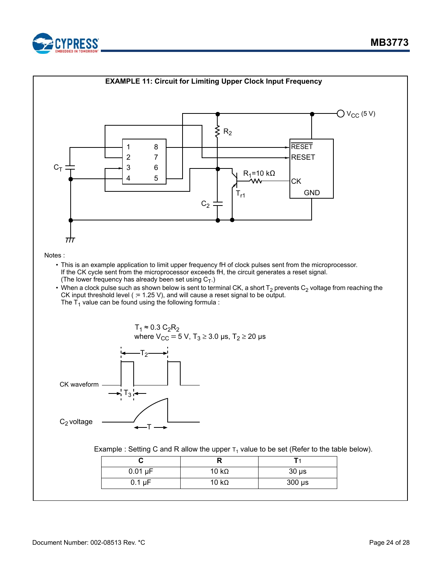

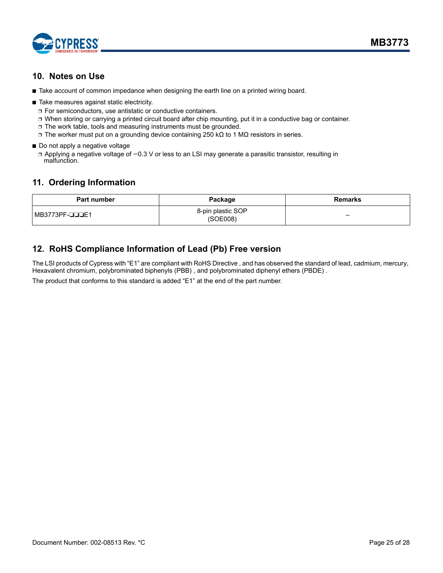

### <span id="page-24-0"></span>**10. Notes on Use**

- Take account of common impedance when designing the earth line on a printed wiring board.
- Take measures against static electricity.
	- ❐ For semiconductors, use antistatic or conductive containers.
	- ❐ When storing or carrying a printed circuit board after chip mounting, put it in a conductive bag or container.
	- ❐ The work table, tools and measuring instruments must be grounded.
	- ❐ The worker must put on a grounding device containing 250 kΩ to 1 MΩ resistors in series.
- Do not apply a negative voltage

❐ Applying a negative voltage of −0.3 V or less to an LSI may generate a parasitic transistor, resulting in malfunction.

### <span id="page-24-1"></span>**11. Ordering Information**

| <b>Part number</b> | Package                       | Remarks                                 |
|--------------------|-------------------------------|-----------------------------------------|
| l MB3773PF-⊔⊔⊔E1   | 8-pin plastic SOP<br>(SOE008) | $\qquad \qquad \  \  \, -\qquad \qquad$ |

## <span id="page-24-2"></span>**12. RoHS Compliance Information of Lead (Pb) Free version**

The LSI products of Cypress with "E1" are compliant with RoHS Directive , and has observed the standard of lead, cadmium, mercury, Hexavalent chromium, polybrominated biphenyls (PBB) , and polybrominated diphenyl ethers (PBDE) .

The product that conforms to this standard is added "E1" at the end of the part number.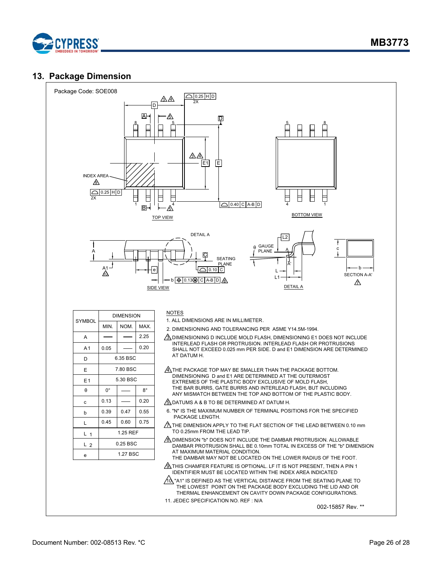

### <span id="page-25-0"></span>**13. Package Dimension**



| <b>SYMBOL</b>  | <b>DIMENSION</b>     |      |      |  |  |
|----------------|----------------------|------|------|--|--|
|                | MIN.                 | NOM. | MAX. |  |  |
| A              |                      |      | 2.25 |  |  |
| A1             | 0.05                 |      | 0.20 |  |  |
| D              | 6.35 BSC             |      |      |  |  |
| Ε              | 7.80 BSC             |      |      |  |  |
| E1             | 5.30 BSC             |      |      |  |  |
| A              | 0°<br>$8^{\circ}$    |      |      |  |  |
| C              | 0.13                 |      | 0.20 |  |  |
| b              | 0.39<br>0.47<br>0.55 |      |      |  |  |
| L              | 0.75<br>0.45<br>0.60 |      |      |  |  |
| $L_{1}$        | 1.25 REF             |      |      |  |  |
| L <sub>2</sub> | $0.25$ BSC           |      |      |  |  |
| e              | 1.27 BSC             |      |      |  |  |

#### **NOTES**

1. ALL DIMENSIONS ARE IN MILLIMETER.

- 2. DIMENSIONING AND TOLERANCING PER ASME Y14.5M-1994.
- $\frac{\Lambda}{\Lambda}$  DIMENSIONING D INCLUDE MOLD FLASH, DIMENSIONING E1 DOES NOT INCLUDE INTERLEAD FLASH OR PROTRUSION. INTERLEAD FLASH OR PROTRUSIONS SHALL NOT EXCEED 0.025 mm PER SIDE. D and E1 DIMENSION ARE DETERMINED AT DATUM H.
- $\mathcal{A}_\Lambda$ THE PACKAGE TOP MAY BE SMALLER THAN THE PACKAGE BOTTOM. DIMENSIONING D and E1 ARE DETERMINED AT THE OUTERMOST EXTREMES OF THE PLASTIC BODY EXCLUSIVE OF MOLD FLASH, THE BAR BURRS, GATE BURRS AND INTERLEAD FLASH, BUT INCLUDING ANY MISMATCH BETWEEN THE TOP AND BOTTOM OF THE PLASTIC BODY.

 $\sqrt{6}$  DATUMS A & B TO BE DETERMINED AT DATUM H.

- 6. "N" IS THE MAXIMUM NUMBER OF TERMINAL POSITIONS FOR THE SPECIFIED PACKAGE LENGTH.
- $\triangle$  THE DIMENSION APPLY TO THE FLAT SECTION OF THE LEAD BETWEEN 0.10 mm TO 0.25mm FROM THE LEAD TIP.
- $\sqrt{\frac{2}{N}}$  DIMENSION "b" DOES NOT INCLUDE THE DAMBAR PROTRUSION. ALLOWABLE DAMBAR PROTRUSION SHALL BE 0.10mm TOTAL IN EXCESS OF THE "b" DIMENSION AT MAXIMUM MATERIAL CONDITION. THE DAMBAR MAY NOT BE LOCATED ON THE LOWER RADIUS OF THE FOOT.
- $\hat{\mathcal{D}}$  this chamfer feature is optional. Lf it is not present, then a PIN 1 IDENTIFIER MUST BE LOCATED WITHIN THE INDEX AREA INDICATED

 $\overline{\text{/}}\text{/d}$  "A1" IS DEFINED AS THE VERTICAL DISTANCE FROM THE SEATING PLANE TO THE LOWEST POINT ON THE PACKAGE BODY EXCLUDING THE LID AND OR THERMAL ENHANCEMENT ON CAVITY DOWN PACKAGE CONFIGURATIONS.

11. JEDEC SPECIFICATION NO. REF : N/A

002-15857 Rev. \*\*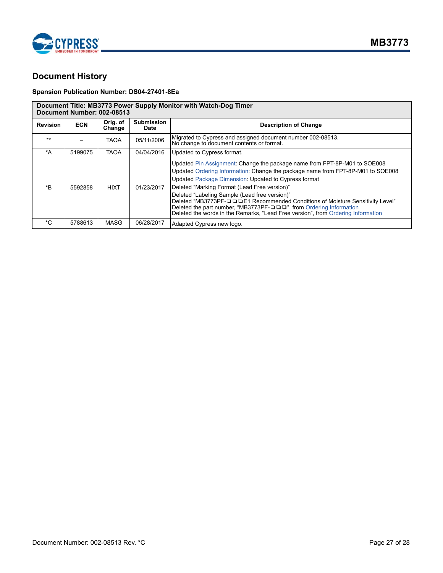

## <span id="page-26-0"></span>**Document History**

#### **Spansion Publication Number: DS04-27401-8Ea**

#### **Document Title: MB3773 Power Supply Monitor with Watch-Dog Timer**

**Document Number: 002-08513**

| <b>Revision</b>  | <b>ECN</b> | Orig. of<br>Change | <b>Submission</b><br>Date | <b>Description of Change</b>                                                                                                                                                                                                                                                                                                                                                                                                                                                                                                                                    |
|------------------|------------|--------------------|---------------------------|-----------------------------------------------------------------------------------------------------------------------------------------------------------------------------------------------------------------------------------------------------------------------------------------------------------------------------------------------------------------------------------------------------------------------------------------------------------------------------------------------------------------------------------------------------------------|
| $***$            |            | <b>TAOA</b>        | 05/11/2006                | Migrated to Cypress and assigned document number 002-08513.<br>No change to document contents or format.                                                                                                                                                                                                                                                                                                                                                                                                                                                        |
| $^{\star}$ A     | 5199075    | <b>TAOA</b>        | 04/04/2016                | Updated to Cypress format.                                                                                                                                                                                                                                                                                                                                                                                                                                                                                                                                      |
| $*_{\mathsf{B}}$ | 5592858    | <b>HIXT</b>        | 01/23/2017                | Updated Pin Assignment: Change the package name from FPT-8P-M01 to SOE008<br>Updated Ordering Information: Change the package name from FPT-8P-M01 to SOE008<br>Updated Package Dimension: Updated to Cypress format<br>Deleted "Marking Format (Lead Free version)"<br>Deleted "Labeling Sample (Lead free version)"<br>Deleted "MB3773PF-QQDE1 Recommended Conditions of Moisture Sensitivity Level"<br>Deleted the part number, "MB3773PF-QQ", from Ordering Information<br>Deleted the words in the Remarks, "Lead Free version", from Ordering Information |
| *C               | 5788613    | <b>MASG</b>        | 06/28/2017                | Adapted Cypress new logo.                                                                                                                                                                                                                                                                                                                                                                                                                                                                                                                                       |